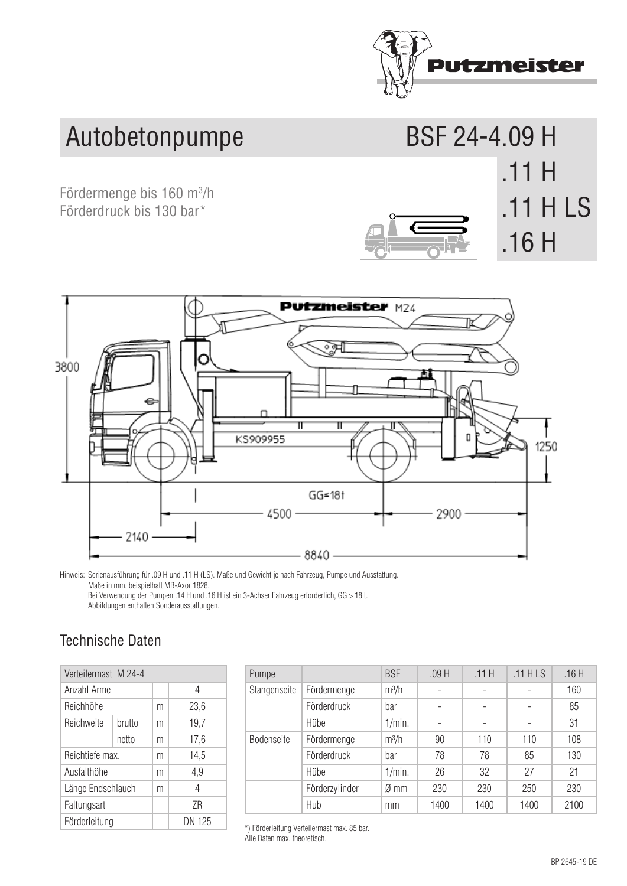

**.11 H LS**

**.11 H**  .11 H LS

## Autobetonpumpe BSF 24-4.09 H

Fördermenge bis 160 m<sup>3</sup>/h **OUTPUT UP TO 160 M 11 H 1 11 H 14 concrete pump**  Förderdruck bis 130 bar\*



Hinweis: Serienausführung für .09 H und .11 H (LS). Maße und Gewicht je nach Fahrzeug, Pumpe und Ausstattung. Maße in mm, beispielhaft MB-Axor 1828. Bei Verwendung der Pumpen .14 H und .16 H ist ein 3-Achser Fahrzeug erforderlich, GG > 18 t. Sections 4 Abbildungen enthalten Sonderausstattungen. Output management management management management management management management of the state of the state

## Technische Daten

| Verteilermast M 24-4 |        |   |        | Pumpe           |
|----------------------|--------|---|--------|-----------------|
| Anzahl Arme          |        |   | 4      | Stangensei      |
| Reichhöhe            |        | m | 23,6   |                 |
| Reichweite           | brutto | m | 19,7   |                 |
|                      | netto  | m | 17,6   | Bodenseite      |
| Reichtiefe max.      |        | m | 14,5   |                 |
| Ausfalthöhe          |        | m | 4,9    |                 |
| Länge Endschlauch    |        | m | 4      |                 |
| Faltungsart          |        |   | 7R     |                 |
| Förderleitung        |        |   | DN 125 | *) Förderleitun |
|                      |        |   |        |                 |

| Pumpe             |                | <b>BSF</b> | .09H | .11H                     | $.11$ HLS | .16H |
|-------------------|----------------|------------|------|--------------------------|-----------|------|
| Stangenseite      | Fördermenge    | $m^3/h$    |      | -                        |           | 160  |
|                   | Förderdruck    | bar        |      | $\overline{\phantom{0}}$ |           | 85   |
|                   | Hübe           | 1/min.     |      | -                        |           | 31   |
| <b>Bodenseite</b> | Fördermenge    | $m^3/h$    | 90   | 110                      | 110       | 108  |
|                   | Förderdruck    | bar        | 78   | 78                       | 85        | 130  |
|                   | Hübe           | 1/min.     | 26   | 32                       | 27        | 21   |
|                   | Förderzylinder | Ø mm       | 230  | 230                      | 250       | 230  |
|                   | Hub            | mm         | 1400 | 1400                     | 1400      | 2100 |

\*) Förderleitung Verteilermast max. 85 bar. Alle Daten max. theoretisch.